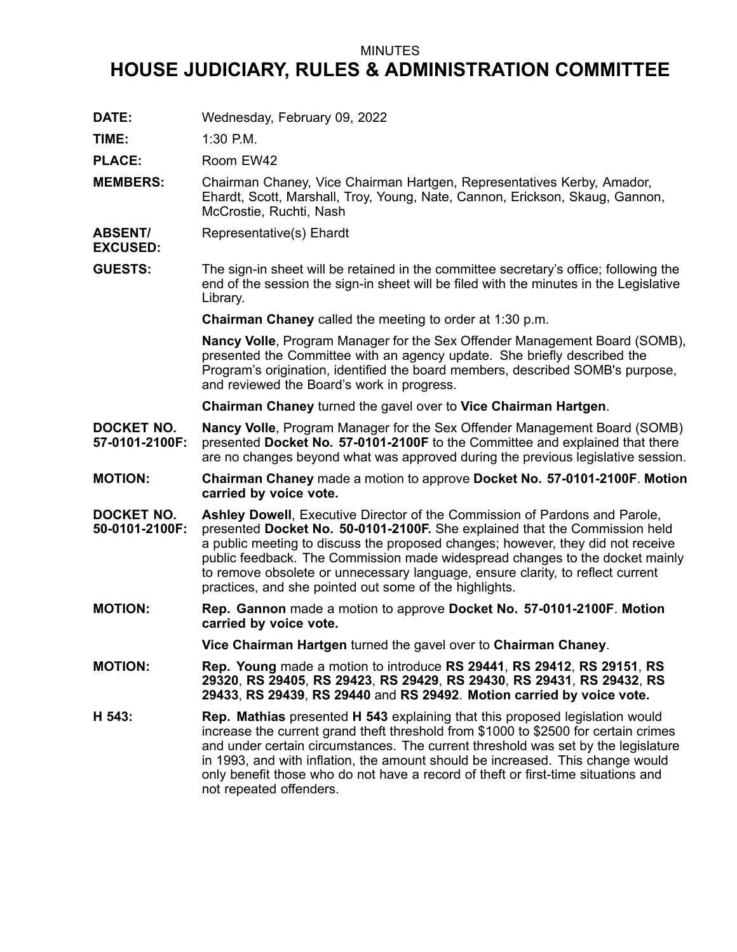## MINUTES

## **HOUSE JUDICIARY, RULES & ADMINISTRATION COMMITTEE**

**DATE:** Wednesday, February 09, 2022

**TIME:** 1:30 P.M.

PLACE: Room EW42

- **MEMBERS:** Chairman Chaney, Vice Chairman Hartgen, Representatives Kerby, Amador, Ehardt, Scott, Marshall, Troy, Young, Nate, Cannon, Erickson, Skaug, Gannon, McCrostie, Ruchti, Nash
- **ABSENT/** Representative(s) Ehardt
- **EXCUSED:**
- **GUESTS:** The sign-in sheet will be retained in the committee secretary's office; following the end of the session the sign-in sheet will be filed with the minutes in the Legislative Library.

**Chairman Chaney** called the meeting to order at 1:30 p.m.

**Nancy Volle**, Program Manager for the Sex Offender Management Board (SOMB), presented the Committee with an agency update. She briefly described the Program's origination, identified the board members, described SOMB's purpose, and reviewed the Board's work in progress.

**Chairman Chaney** turned the gavel over to **Vice Chairman Hartgen**.

- **DOCKET NO. 57-0101-2100F: Nancy Volle**, Program Manager for the Sex Offender Management Board (SOMB) presented **Docket No. 57-0101-2100F** to the Committee and explained that there are no changes beyond what was approved during the previous legislative session.
- **MOTION: Chairman Chaney** made <sup>a</sup> motion to approve **Docket No. 57-0101-2100F**. **Motion carried by voice vote.**
- **DOCKET NO. 50-0101-2100F: Ashley Dowell**, Executive Director of the Commission of Pardons and Parole, presented **Docket No. 50-0101-2100F.** She explained that the Commission held <sup>a</sup> public meeting to discuss the proposed changes; however, they did not receive public feedback. The Commission made widespread changes to the docket mainly to remove obsolete or unnecessary language, ensure clarity, to reflect current practices, and she pointed out some of the highlights.
- **MOTION: Rep. Gannon** made <sup>a</sup> motion to approve **Docket No. 57-0101-2100F**. **Motion carried by voice vote.**

**Vice Chairman Hartgen** turned the gavel over to **Chairman Chaney**.

- **MOTION: Rep. Young** made <sup>a</sup> motion to introduce **RS 29441**, **RS 29412**, **RS 29151**, **RS 29320**, **RS 29405**, **RS 29423**, **RS 29429**, **RS 29430**, **RS 29431**, **RS 29432**, **RS 29433**, **RS 29439**, **RS 29440** and **RS 29492**. **Motion carried by voice vote.**
- **H 543: Rep. Mathias** presented **H 543** explaining that this proposed legislation would increase the current grand theft threshold from \$1000 to \$2500 for certain crimes and under certain circumstances. The current threshold was set by the legislature in 1993, and with inflation, the amount should be increased. This change would only benefit those who do not have <sup>a</sup> record of theft or first-time situations and not repeated offenders.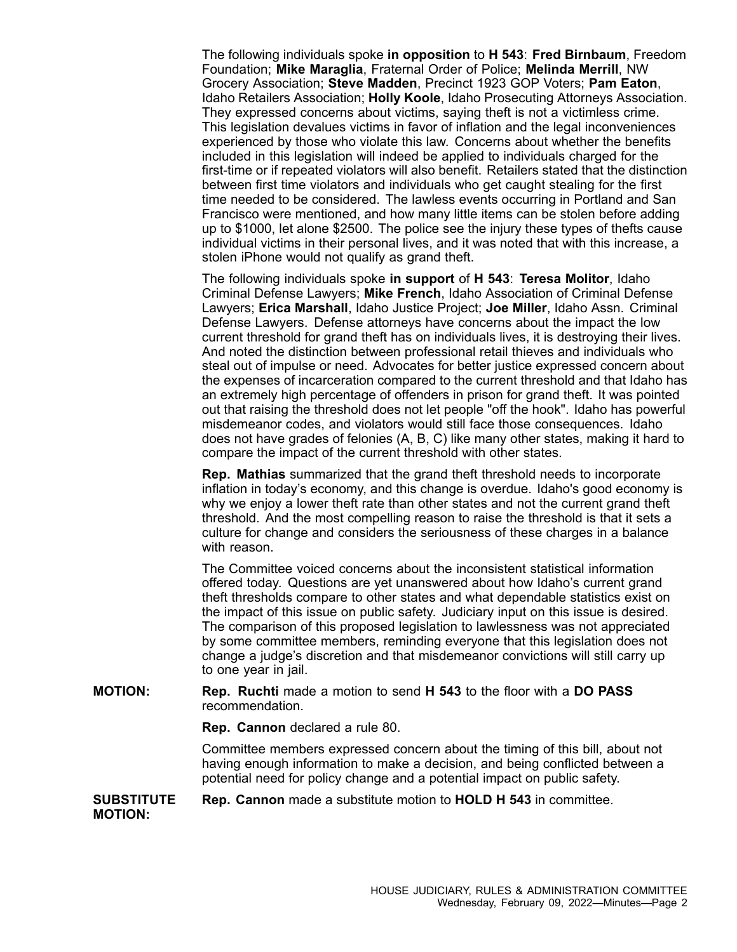The following individuals spoke **in opposition** to **H 543**: **Fred Birnbaum**, Freedom Foundation; **Mike Maraglia**, Fraternal Order of Police; **Melinda Merrill**, NW Grocery Association; **Steve Madden**, Precinct 1923 GOP Voters; **Pam Eaton**, Idaho Retailers Association; **Holly Koole**, Idaho Prosecuting Attorneys Association. They expressed concerns about victims, saying theft is not <sup>a</sup> victimless crime. This legislation devalues victims in favor of inflation and the legal inconveniences experienced by those who violate this law. Concerns about whether the benefits included in this legislation will indeed be applied to individuals charged for the first-time or if repeated violators will also benefit. Retailers stated that the distinction between first time violators and individuals who get caught stealing for the first time needed to be considered. The lawless events occurring in Portland and San Francisco were mentioned, and how many little items can be stolen before adding up to \$1000, let alone \$2500. The police see the injury these types of thefts cause individual victims in their personal lives, and it was noted that with this increase, <sup>a</sup> stolen iPhone would not qualify as grand theft.

The following individuals spoke **in support** of **H 543**: **Teresa Molitor**, Idaho Criminal Defense Lawyers; **Mike French**, Idaho Association of Criminal Defense Lawyers; **Erica Marshall**, Idaho Justice Project; **Joe Miller**, Idaho Assn. Criminal Defense Lawyers. Defense attorneys have concerns about the impact the low current threshold for grand theft has on individuals lives, it is destroying their lives. And noted the distinction between professional retail thieves and individuals who steal out of impulse or need. Advocates for better justice expressed concern about the expenses of incarceration compared to the current threshold and that Idaho has an extremely high percentage of offenders in prison for grand theft. It was pointed out that raising the threshold does not let people "off the hook". Idaho has powerful misdemeanor codes, and violators would still face those consequences. Idaho does not have grades of felonies (A, B, C) like many other states, making it hard to compare the impact of the current threshold with other states.

**Rep. Mathias** summarized that the grand theft threshold needs to incorporate inflation in today's economy, and this change is overdue. Idaho's good economy is why we enjoy <sup>a</sup> lower theft rate than other states and not the current grand theft threshold. And the most compelling reason to raise the threshold is that it sets <sup>a</sup> culture for change and considers the seriousness of these charges in <sup>a</sup> balance with reason.

The Committee voiced concerns about the inconsistent statistical information offered today. Questions are yet unanswered about how Idaho's current grand theft thresholds compare to other states and what dependable statistics exist on the impact of this issue on public safety. Judiciary input on this issue is desired. The comparison of this proposed legislation to lawlessness was not appreciated by some committee members, reminding everyone that this legislation does not change <sup>a</sup> judge's discretion and that misdemeanor convictions will still carry up to one year in jail.

## **MOTION: Rep. Ruchti** made <sup>a</sup> motion to send **H 543** to the floor with <sup>a</sup> **DO PASS** recommendation.

**Rep. Cannon** declared <sup>a</sup> rule 80.

Committee members expressed concern about the timing of this bill, about not having enough information to make <sup>a</sup> decision, and being conflicted between <sup>a</sup> potential need for policy change and <sup>a</sup> potential impact on public safety.

## **SUBSTITUTE MOTION: Rep. Cannon** made <sup>a</sup> substitute motion to **HOLD H 543** in committee.